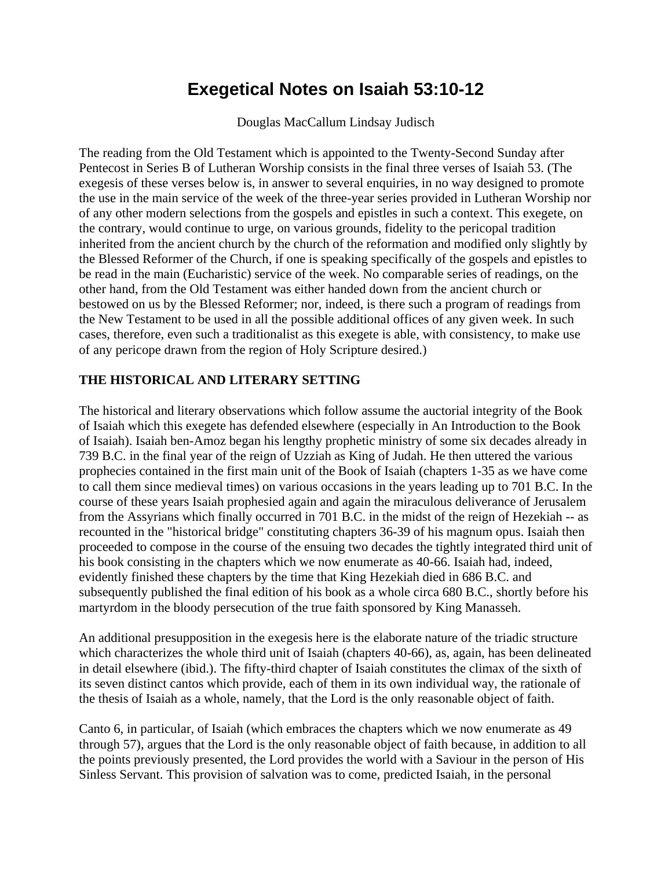## **Exegetical Notes on Isaiah 53:10-12**

Douglas MacCallum Lindsay Judisch

The reading from the Old Testament which is appointed to the Twenty-Second Sunday after Pentecost in Series B of Lutheran Worship consists in the final three verses of Isaiah 53. (The exegesis of these verses below is, in answer to several enquiries, in no way designed to promote the use in the main service of the week of the three-year series provided in Lutheran Worship nor of any other modern selections from the gospels and epistles in such a context. This exegete, on the contrary, would continue to urge, on various grounds, fidelity to the pericopal tradition inherited from the ancient church by the church of the reformation and modified only slightly by the Blessed Reformer of the Church, if one is speaking specifically of the gospels and epistles to be read in the main (Eucharistic) service of the week. No comparable series of readings, on the other hand, from the Old Testament was either handed down from the ancient church or bestowed on us by the Blessed Reformer; nor, indeed, is there such a program of readings from the New Testament to be used in all the possible additional offices of any given week. In such cases, therefore, even such a traditionalist as this exegete is able, with consistency, to make use of any pericope drawn from the region of Holy Scripture desired.)

## **THE HISTORICAL AND LITERARY SETTING**

The historical and literary observations which follow assume the auctorial integrity of the Book of Isaiah which this exegete has defended elsewhere (especially in An Introduction to the Book of Isaiah). Isaiah ben-Amoz began his lengthy prophetic ministry of some six decades already in 739 B.C. in the final year of the reign of Uzziah as King of Judah. He then uttered the various prophecies contained in the first main unit of the Book of Isaiah (chapters 1-35 as we have come to call them since medieval times) on various occasions in the years leading up to 701 B.C. In the course of these years Isaiah prophesied again and again the miraculous deliverance of Jerusalem from the Assyrians which finally occurred in 701 B.C. in the midst of the reign of Hezekiah -- as recounted in the "historical bridge" constituting chapters 36-39 of his magnum opus. Isaiah then proceeded to compose in the course of the ensuing two decades the tightly integrated third unit of his book consisting in the chapters which we now enumerate as 40-66. Isaiah had, indeed, evidently finished these chapters by the time that King Hezekiah died in 686 B.C. and subsequently published the final edition of his book as a whole circa 680 B.C., shortly before his martyrdom in the bloody persecution of the true faith sponsored by King Manasseh.

An additional presupposition in the exegesis here is the elaborate nature of the triadic structure which characterizes the whole third unit of Isaiah (chapters 40-66), as, again, has been delineated in detail elsewhere (ibid.). The fifty-third chapter of Isaiah constitutes the climax of the sixth of its seven distinct cantos which provide, each of them in its own individual way, the rationale of the thesis of Isaiah as a whole, namely, that the Lord is the only reasonable object of faith.

Canto 6, in particular, of Isaiah (which embraces the chapters which we now enumerate as 49 through 57), argues that the Lord is the only reasonable object of faith because, in addition to all the points previously presented, the Lord provides the world with a Saviour in the person of His Sinless Servant. This provision of salvation was to come, predicted Isaiah, in the personal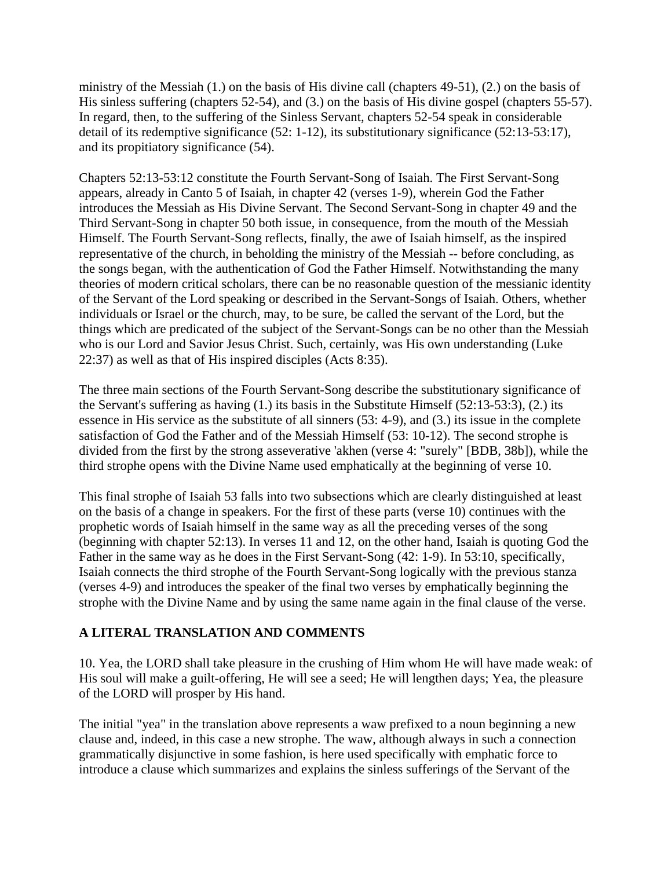ministry of the Messiah (1.) on the basis of His divine call (chapters 49-51), (2.) on the basis of His sinless suffering (chapters 52-54), and (3.) on the basis of His divine gospel (chapters 55-57). In regard, then, to the suffering of the Sinless Servant, chapters 52-54 speak in considerable detail of its redemptive significance (52: 1-12), its substitutionary significance (52:13-53:17), and its propitiatory significance (54).

Chapters 52:13-53:12 constitute the Fourth Servant-Song of Isaiah. The First Servant-Song appears, already in Canto 5 of Isaiah, in chapter 42 (verses 1-9), wherein God the Father introduces the Messiah as His Divine Servant. The Second Servant-Song in chapter 49 and the Third Servant-Song in chapter 50 both issue, in consequence, from the mouth of the Messiah Himself. The Fourth Servant-Song reflects, finally, the awe of Isaiah himself, as the inspired representative of the church, in beholding the ministry of the Messiah -- before concluding, as the songs began, with the authentication of God the Father Himself. Notwithstanding the many theories of modern critical scholars, there can be no reasonable question of the messianic identity of the Servant of the Lord speaking or described in the Servant-Songs of Isaiah. Others, whether individuals or Israel or the church, may, to be sure, be called the servant of the Lord, but the things which are predicated of the subject of the Servant-Songs can be no other than the Messiah who is our Lord and Savior Jesus Christ. Such, certainly, was His own understanding (Luke 22:37) as well as that of His inspired disciples (Acts 8:35).

The three main sections of the Fourth Servant-Song describe the substitutionary significance of the Servant's suffering as having (1.) its basis in the Substitute Himself (52:13-53:3), (2.) its essence in His service as the substitute of all sinners (53: 4-9), and (3.) its issue in the complete satisfaction of God the Father and of the Messiah Himself (53: 10-12). The second strophe is divided from the first by the strong asseverative 'akhen (verse 4: "surely" [BDB, 38b]), while the third strophe opens with the Divine Name used emphatically at the beginning of verse 10.

This final strophe of Isaiah 53 falls into two subsections which are clearly distinguished at least on the basis of a change in speakers. For the first of these parts (verse 10) continues with the prophetic words of Isaiah himself in the same way as all the preceding verses of the song (beginning with chapter 52:13). In verses 11 and 12, on the other hand, Isaiah is quoting God the Father in the same way as he does in the First Servant-Song (42: 1-9). In 53:10, specifically, Isaiah connects the third strophe of the Fourth Servant-Song logically with the previous stanza (verses 4-9) and introduces the speaker of the final two verses by emphatically beginning the strophe with the Divine Name and by using the same name again in the final clause of the verse.

## **A LITERAL TRANSLATION AND COMMENTS**

10. Yea, the LORD shall take pleasure in the crushing of Him whom He will have made weak: of His soul will make a guilt-offering, He will see a seed; He will lengthen days; Yea, the pleasure of the LORD will prosper by His hand.

The initial "yea" in the translation above represents a waw prefixed to a noun beginning a new clause and, indeed, in this case a new strophe. The waw, although always in such a connection grammatically disjunctive in some fashion, is here used specifically with emphatic force to introduce a clause which summarizes and explains the sinless sufferings of the Servant of the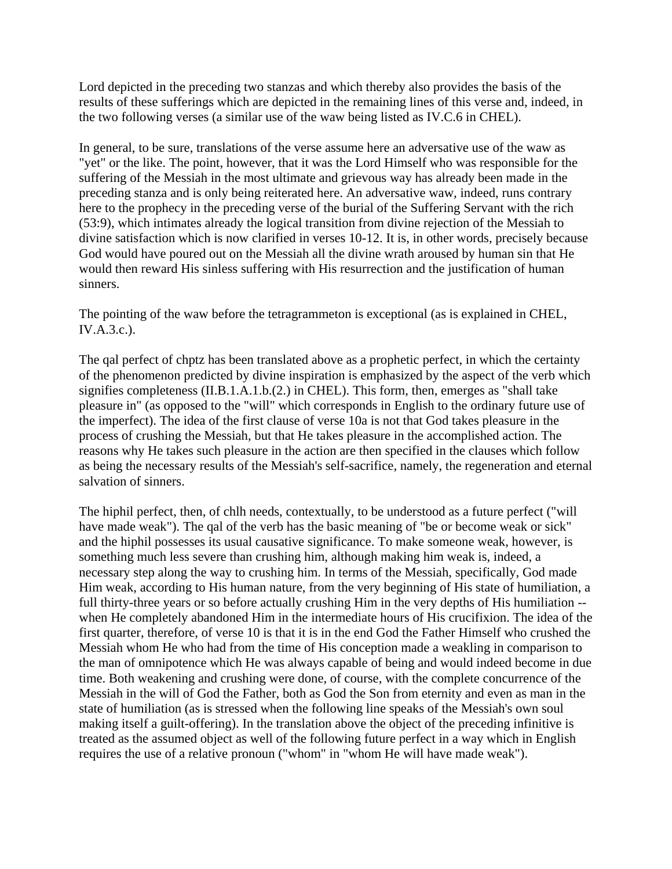Lord depicted in the preceding two stanzas and which thereby also provides the basis of the results of these sufferings which are depicted in the remaining lines of this verse and, indeed, in the two following verses (a similar use of the waw being listed as IV.C.6 in CHEL).

In general, to be sure, translations of the verse assume here an adversative use of the waw as "yet" or the like. The point, however, that it was the Lord Himself who was responsible for the suffering of the Messiah in the most ultimate and grievous way has already been made in the preceding stanza and is only being reiterated here. An adversative waw, indeed, runs contrary here to the prophecy in the preceding verse of the burial of the Suffering Servant with the rich (53:9), which intimates already the logical transition from divine rejection of the Messiah to divine satisfaction which is now clarified in verses 10-12. It is, in other words, precisely because God would have poured out on the Messiah all the divine wrath aroused by human sin that He would then reward His sinless suffering with His resurrection and the justification of human sinners.

The pointing of the waw before the tetragrammeton is exceptional (as is explained in CHEL, IV.A.3.c.).

The qal perfect of chptz has been translated above as a prophetic perfect, in which the certainty of the phenomenon predicted by divine inspiration is emphasized by the aspect of the verb which signifies completeness (II.B.1.A.1.b.(2.) in CHEL). This form, then, emerges as "shall take pleasure in" (as opposed to the "will" which corresponds in English to the ordinary future use of the imperfect). The idea of the first clause of verse 10a is not that God takes pleasure in the process of crushing the Messiah, but that He takes pleasure in the accomplished action. The reasons why He takes such pleasure in the action are then specified in the clauses which follow as being the necessary results of the Messiah's self-sacrifice, namely, the regeneration and eternal salvation of sinners.

The hiphil perfect, then, of chlh needs, contextually, to be understood as a future perfect ("will have made weak"). The qal of the verb has the basic meaning of "be or become weak or sick" and the hiphil possesses its usual causative significance. To make someone weak, however, is something much less severe than crushing him, although making him weak is, indeed, a necessary step along the way to crushing him. In terms of the Messiah, specifically, God made Him weak, according to His human nature, from the very beginning of His state of humiliation, a full thirty-three years or so before actually crushing Him in the very depths of His humiliation - when He completely abandoned Him in the intermediate hours of His crucifixion. The idea of the first quarter, therefore, of verse 10 is that it is in the end God the Father Himself who crushed the Messiah whom He who had from the time of His conception made a weakling in comparison to the man of omnipotence which He was always capable of being and would indeed become in due time. Both weakening and crushing were done, of course, with the complete concurrence of the Messiah in the will of God the Father, both as God the Son from eternity and even as man in the state of humiliation (as is stressed when the following line speaks of the Messiah's own soul making itself a guilt-offering). In the translation above the object of the preceding infinitive is treated as the assumed object as well of the following future perfect in a way which in English requires the use of a relative pronoun ("whom" in "whom He will have made weak").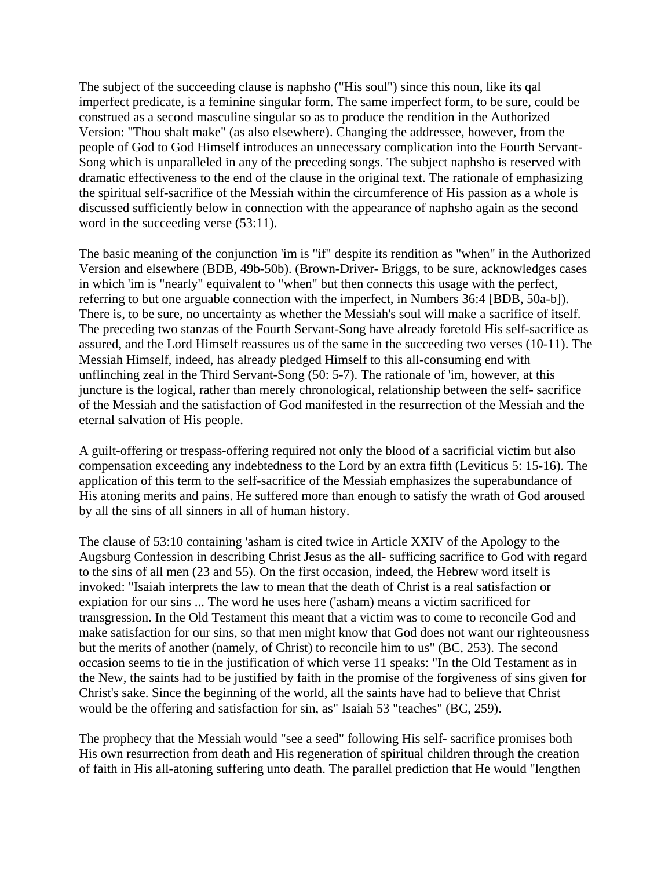The subject of the succeeding clause is naphsho ("His soul") since this noun, like its qal imperfect predicate, is a feminine singular form. The same imperfect form, to be sure, could be construed as a second masculine singular so as to produce the rendition in the Authorized Version: "Thou shalt make" (as also elsewhere). Changing the addressee, however, from the people of God to God Himself introduces an unnecessary complication into the Fourth Servant-Song which is unparalleled in any of the preceding songs. The subject naphsho is reserved with dramatic effectiveness to the end of the clause in the original text. The rationale of emphasizing the spiritual self-sacrifice of the Messiah within the circumference of His passion as a whole is discussed sufficiently below in connection with the appearance of naphsho again as the second word in the succeeding verse  $(53:11)$ .

The basic meaning of the conjunction 'im is "if" despite its rendition as "when" in the Authorized Version and elsewhere (BDB, 49b-50b). (Brown-Driver- Briggs, to be sure, acknowledges cases in which 'im is "nearly" equivalent to "when" but then connects this usage with the perfect, referring to but one arguable connection with the imperfect, in Numbers 36:4 [BDB, 50a-b]). There is, to be sure, no uncertainty as whether the Messiah's soul will make a sacrifice of itself. The preceding two stanzas of the Fourth Servant-Song have already foretold His self-sacrifice as assured, and the Lord Himself reassures us of the same in the succeeding two verses (10-11). The Messiah Himself, indeed, has already pledged Himself to this all-consuming end with unflinching zeal in the Third Servant-Song (50: 5-7). The rationale of 'im, however, at this juncture is the logical, rather than merely chronological, relationship between the self- sacrifice of the Messiah and the satisfaction of God manifested in the resurrection of the Messiah and the eternal salvation of His people.

A guilt-offering or trespass-offering required not only the blood of a sacrificial victim but also compensation exceeding any indebtedness to the Lord by an extra fifth (Leviticus 5: 15-16). The application of this term to the self-sacrifice of the Messiah emphasizes the superabundance of His atoning merits and pains. He suffered more than enough to satisfy the wrath of God aroused by all the sins of all sinners in all of human history.

The clause of 53:10 containing 'asham is cited twice in Article XXIV of the Apology to the Augsburg Confession in describing Christ Jesus as the all- sufficing sacrifice to God with regard to the sins of all men (23 and 55). On the first occasion, indeed, the Hebrew word itself is invoked: "Isaiah interprets the law to mean that the death of Christ is a real satisfaction or expiation for our sins ... The word he uses here ('asham) means a victim sacrificed for transgression. In the Old Testament this meant that a victim was to come to reconcile God and make satisfaction for our sins, so that men might know that God does not want our righteousness but the merits of another (namely, of Christ) to reconcile him to us" (BC, 253). The second occasion seems to tie in the justification of which verse 11 speaks: "In the Old Testament as in the New, the saints had to be justified by faith in the promise of the forgiveness of sins given for Christ's sake. Since the beginning of the world, all the saints have had to believe that Christ would be the offering and satisfaction for sin, as" Isaiah 53 "teaches" (BC, 259).

The prophecy that the Messiah would "see a seed" following His self- sacrifice promises both His own resurrection from death and His regeneration of spiritual children through the creation of faith in His all-atoning suffering unto death. The parallel prediction that He would "lengthen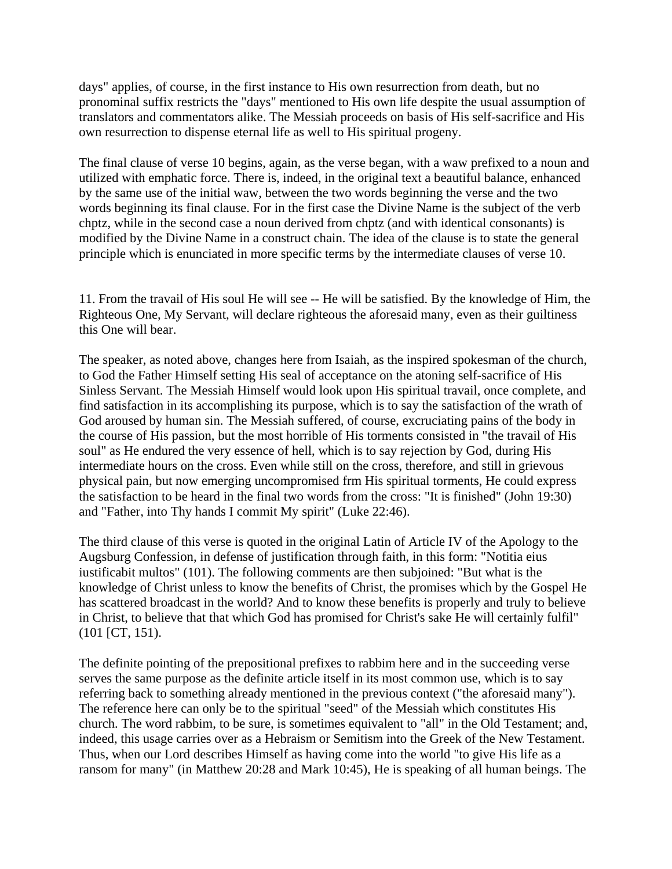days" applies, of course, in the first instance to His own resurrection from death, but no pronominal suffix restricts the "days" mentioned to His own life despite the usual assumption of translators and commentators alike. The Messiah proceeds on basis of His self-sacrifice and His own resurrection to dispense eternal life as well to His spiritual progeny.

The final clause of verse 10 begins, again, as the verse began, with a waw prefixed to a noun and utilized with emphatic force. There is, indeed, in the original text a beautiful balance, enhanced by the same use of the initial waw, between the two words beginning the verse and the two words beginning its final clause. For in the first case the Divine Name is the subject of the verb chptz, while in the second case a noun derived from chptz (and with identical consonants) is modified by the Divine Name in a construct chain. The idea of the clause is to state the general principle which is enunciated in more specific terms by the intermediate clauses of verse 10.

11. From the travail of His soul He will see -- He will be satisfied. By the knowledge of Him, the Righteous One, My Servant, will declare righteous the aforesaid many, even as their guiltiness this One will bear.

The speaker, as noted above, changes here from Isaiah, as the inspired spokesman of the church, to God the Father Himself setting His seal of acceptance on the atoning self-sacrifice of His Sinless Servant. The Messiah Himself would look upon His spiritual travail, once complete, and find satisfaction in its accomplishing its purpose, which is to say the satisfaction of the wrath of God aroused by human sin. The Messiah suffered, of course, excruciating pains of the body in the course of His passion, but the most horrible of His torments consisted in "the travail of His soul" as He endured the very essence of hell, which is to say rejection by God, during His intermediate hours on the cross. Even while still on the cross, therefore, and still in grievous physical pain, but now emerging uncompromised frm His spiritual torments, He could express the satisfaction to be heard in the final two words from the cross: "It is finished" (John 19:30) and "Father, into Thy hands I commit My spirit" (Luke 22:46).

The third clause of this verse is quoted in the original Latin of Article IV of the Apology to the Augsburg Confession, in defense of justification through faith, in this form: "Notitia eius iustificabit multos" (101). The following comments are then subjoined: "But what is the knowledge of Christ unless to know the benefits of Christ, the promises which by the Gospel He has scattered broadcast in the world? And to know these benefits is properly and truly to believe in Christ, to believe that that which God has promised for Christ's sake He will certainly fulfil" (101 [CT, 151).

The definite pointing of the prepositional prefixes to rabbim here and in the succeeding verse serves the same purpose as the definite article itself in its most common use, which is to say referring back to something already mentioned in the previous context ("the aforesaid many"). The reference here can only be to the spiritual "seed" of the Messiah which constitutes His church. The word rabbim, to be sure, is sometimes equivalent to "all" in the Old Testament; and, indeed, this usage carries over as a Hebraism or Semitism into the Greek of the New Testament. Thus, when our Lord describes Himself as having come into the world "to give His life as a ransom for many" (in Matthew 20:28 and Mark 10:45), He is speaking of all human beings. The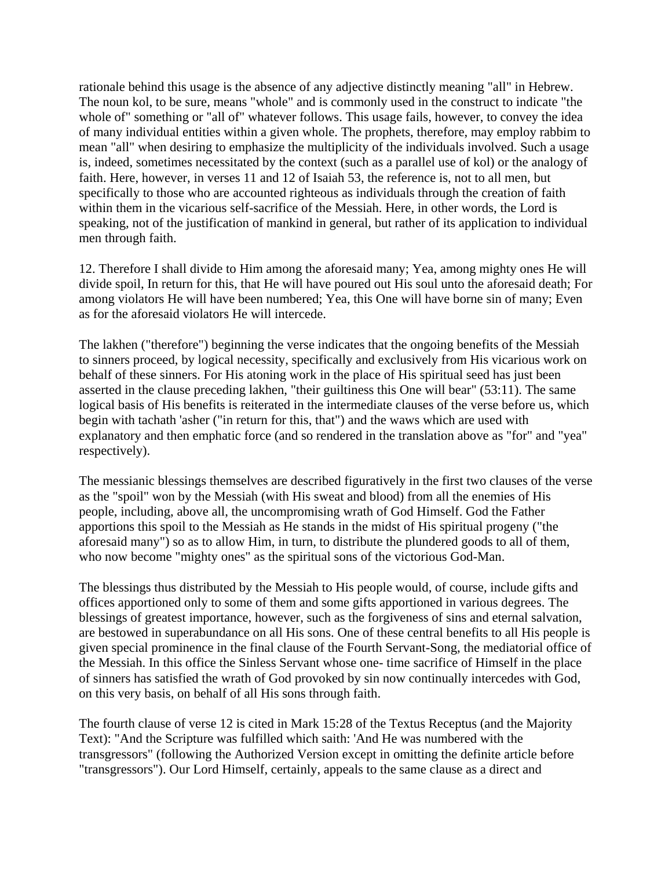rationale behind this usage is the absence of any adjective distinctly meaning "all" in Hebrew. The noun kol, to be sure, means "whole" and is commonly used in the construct to indicate "the whole of" something or "all of" whatever follows. This usage fails, however, to convey the idea of many individual entities within a given whole. The prophets, therefore, may employ rabbim to mean "all" when desiring to emphasize the multiplicity of the individuals involved. Such a usage is, indeed, sometimes necessitated by the context (such as a parallel use of kol) or the analogy of faith. Here, however, in verses 11 and 12 of Isaiah 53, the reference is, not to all men, but specifically to those who are accounted righteous as individuals through the creation of faith within them in the vicarious self-sacrifice of the Messiah. Here, in other words, the Lord is speaking, not of the justification of mankind in general, but rather of its application to individual men through faith.

12. Therefore I shall divide to Him among the aforesaid many; Yea, among mighty ones He will divide spoil, In return for this, that He will have poured out His soul unto the aforesaid death; For among violators He will have been numbered; Yea, this One will have borne sin of many; Even as for the aforesaid violators He will intercede.

The lakhen ("therefore") beginning the verse indicates that the ongoing benefits of the Messiah to sinners proceed, by logical necessity, specifically and exclusively from His vicarious work on behalf of these sinners. For His atoning work in the place of His spiritual seed has just been asserted in the clause preceding lakhen, "their guiltiness this One will bear" (53:11). The same logical basis of His benefits is reiterated in the intermediate clauses of the verse before us, which begin with tachath 'asher ("in return for this, that") and the waws which are used with explanatory and then emphatic force (and so rendered in the translation above as "for" and "yea" respectively).

The messianic blessings themselves are described figuratively in the first two clauses of the verse as the "spoil" won by the Messiah (with His sweat and blood) from all the enemies of His people, including, above all, the uncompromising wrath of God Himself. God the Father apportions this spoil to the Messiah as He stands in the midst of His spiritual progeny ("the aforesaid many") so as to allow Him, in turn, to distribute the plundered goods to all of them, who now become "mighty ones" as the spiritual sons of the victorious God-Man.

The blessings thus distributed by the Messiah to His people would, of course, include gifts and offices apportioned only to some of them and some gifts apportioned in various degrees. The blessings of greatest importance, however, such as the forgiveness of sins and eternal salvation, are bestowed in superabundance on all His sons. One of these central benefits to all His people is given special prominence in the final clause of the Fourth Servant-Song, the mediatorial office of the Messiah. In this office the Sinless Servant whose one- time sacrifice of Himself in the place of sinners has satisfied the wrath of God provoked by sin now continually intercedes with God, on this very basis, on behalf of all His sons through faith.

The fourth clause of verse 12 is cited in Mark 15:28 of the Textus Receptus (and the Majority Text): "And the Scripture was fulfilled which saith: 'And He was numbered with the transgressors" (following the Authorized Version except in omitting the definite article before "transgressors"). Our Lord Himself, certainly, appeals to the same clause as a direct and